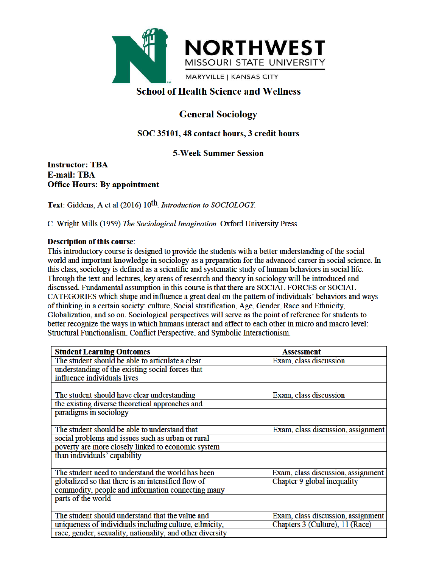

# **School of Health Science and Wellness**

# **General Sociology**

# SOC 35101, 48 contact hours, 3 credit hours

# **5-Week Summer Session**

### **Instructor: TBA E-mail: TBA Office Hours: By appointment**

Text: Giddens, A et al (2016) 10<sup>th</sup>. Introduction to SOCIOLOGY.

C. Wright Mills (1959) The Sociological Imagination. Oxford University Press.

### **Description of this course:**

This introductory course is designed to provide the students with a better understanding of the social world and important knowledge in sociology as a preparation for the advanced career in social science. In this class, sociology is defined as a scientific and systematic study of human behaviors in social life. Through the text and lectures, key areas of research and theory in sociology will be introduced and discussed. Fundamental assumption in this course is that there are SOCIAL FORCES or SOCIAL CATEGORIES which shape and influence a great deal on the pattern of individuals' behaviors and ways of thinking in a certain society: culture, Social stratification, Age, Gender, Race and Ethnicity, Globalization, and so on. Sociological perspectives will serve as the point of reference for students to better recognize the ways in which humans interact and affect to each other in micro and macro level: Structural Functionalism, Conflict Perspective, and Symbolic Interactionism.

| <b>Student Learning Outcomes</b>                          | <b>Assessment</b>                  |
|-----------------------------------------------------------|------------------------------------|
| The student should be able to articulate a clear          | Exam, class discussion             |
| understanding of the existing social forces that          |                                    |
| influence individuals lives                               |                                    |
|                                                           |                                    |
| The student should have clear understanding               | Exam, class discussion             |
| the existing diverse theoretical approaches and           |                                    |
| paradigms in sociology                                    |                                    |
|                                                           |                                    |
| The student should be able to understand that             | Exam, class discussion, assignment |
| social problems and issues such as urban or rural         |                                    |
| poverty are more closely linked to economic system        |                                    |
| than individuals' capability                              |                                    |
|                                                           |                                    |
| The student need to understand the world has been         | Exam, class discussion, assignment |
| globalized so that there is an intensified flow of        | Chapter 9 global inequality        |
| commodity, people and information connecting many         |                                    |
| parts of the world                                        |                                    |
|                                                           |                                    |
| The student should understand that the value and          | Exam, class discussion, assignment |
| uniqueness of individuals including culture, ethnicity,   | Chapters 3 (Culture), 11 (Race)    |
| race, gender, sexuality, nationality, and other diversity |                                    |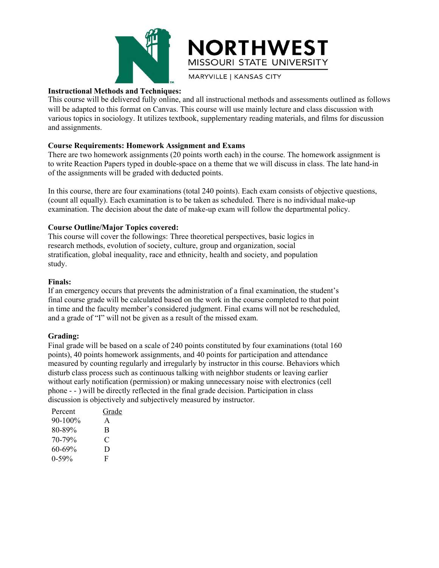



**MARYVILLE | KANSAS CITY** 

### **Instructional Methods and Techniques:**

This course will be delivered fully online, and all instructional methods and assessments outlined as follows will be adapted to this format on Canvas. This course will use mainly lecture and class discussion with various topics in sociology. It utilizes textbook, supplementary reading materials, and films for discussion and assignments.

### **Course Requirements: Homework Assignment and Exams**

There are two homework assignments (20 points worth each) in the course. The homework assignment is to write Reaction Papers typed in double-space on a theme that we will discuss in class. The late hand-in of the assignments will be graded with deducted points.

In this course, there are four examinations (total 240 points). Each exam consists of objective questions, (count all equally). Each examination is to be taken as scheduled. There is no individual make-up examination. The decision about the date of make-up exam will follow the departmental policy.

### **Course Outline/Major Topics covered:**

This course will cover the followings: Three theoretical perspectives, basic logics in research methods, evolution of society, culture, group and organization, social stratification, global inequality, race and ethnicity, health and society, and population study.

#### **Finals:**

or the assignments will be graded with deducted points.<br>In this course, there are four examinations (total 240 points). Each exam consists of objective questions,<br>(count all equally). Each examination is to be taken as sch In this course, there are four examinations (total 240 points). Each exam consists of objective questions,<br>(count all equally). Each examination is to be taken as scheduled. There is no individual make-up<br>examination. The In this course, there are four examinations (total 240 points). Each example only count all equally). Each examination is to be taken as scheduled. There is no individual make-up examination. The decision about the date of (count all equally). Each examination is to be taken as scheduled. There is no individual make-up<br>examination. The decision about the date of make-up exam will follow the departmental policy.<br>Course Outline/Major Topics co

#### **Grading:**

Course Outme/Mapor Toptes covered:<br>This course will cover the followings: Three theoretical perspectives, basic logics in<br>research methods, evolution of society, culture, group and organization, social<br>stratification, glob This course will cover the nollowings: Three ineoretical prespectives, basic logics in<br>research methods, evolution of society, culture, group and organization, social<br>stratification, global inequality, race and ethnicity, research methods, evolution of society, culture, group and organization, social<br>stratification, global inequality, race and ethnicity, health and society, and population<br>study.<br>Finals:<br>fram emergency occurs that prevents t stratineation, giobal mequality, race and eminicity, neatin and society, and population<br> **Finals:**<br> **Final course grade will be calculated based on the work in the course completed to that point<br>
in time and the faculty me Finals:**<br> **Finals:**<br>
If an emergency occurs that prevents the administration of a final examination, the student's<br>
final course grade will be calculated based on the work in the course completed to that point<br>
in time a **Finals:**<br> **If an emergency occurs that prevents the administration of a final examination, the student's<br>
final course grade will be calculated based on the work in the course completed to that point<br>
in time and the fac Firan endoted is the subject of the subject in the subject of the subject of the subject of the subject of the memoric frime and the faculty member's considered judgment. Final exams will not be rescheduled, and a grade** Fractional course grade will be calculated based on the work is<br>time and the faculty member's considered judgment. I<br>nd a grade of "I" will not be given as a result of the mis<br>**Frading:**<br>Tinal grade will be based on a sca man voltage with the calculation of the work in<br>time and the faculty member's considered judgment. F<br>nd a grade of "T" will not be given as a result of the mis<br>**Frading:**<br>inal grade will be based on a scale of 240 points and a grade of "I" will not be given as a result of the mis-<br> **Srading:**<br>
Srading:<br>
inal grade will be based on a scale of 240 points constite<br>
oints), 40 points homework assignments, and 40 points<br>
neasured by counting r **Example 18**<br>
Frading:<br>
inal grade will be based on a scale of 240 points constit<br>
oints), 40 points homework assignments, and 40 points<br>
reasured by counting regularly and irregularly by instruct<br>
isturb class process su Frading:<br>
Sinal grade will be based on a scale of 240 points constit<br>
oints), 40 points homework assignments, and 40 points<br>
neasured by counting regularly and irregularly by instru-<br>
isturb class process such as continuo Final grade will be based on a scale of 240 points constitions), 40 points homework assignments, and 40 points<br>
inclusions, 40 points homework assignments, and 40 points<br>
inclusions are also continuous talking with neight

| Percent      | Grac |
|--------------|------|
| $90 - 100\%$ | A    |
| 80-89%       | B    |
| $70 - 79%$   | €    |
| $60 - 69\%$  | D    |
| $0-59%$      | F    |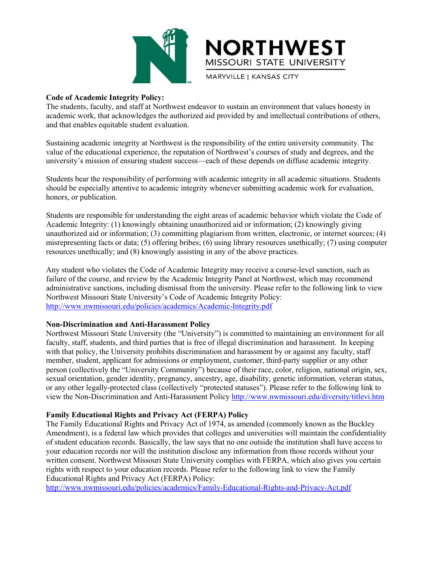

Code of Academic Integrity Policy:<br>
The students, faculty, and staff at Northwest endeavor to sustain an exacedemic work, that acknowledges the authorized aid provided by an and that enables equitable student evaluation. THE ST<br>
MISSOURI STATE UNIVERSITY<br>
The students, faculty, and staff at Northwest endeavor to sustain an environment that values honesty in<br>
academic work, that acknowledges the authorized aid provided by and intellectual c MORTHWEST<br>
MISSOURI STATE UNIVERSITY<br>
Code of Academic Integrity Policy:<br>
The students, faculty, and staff at Northwest endeavor to sustain an environment that values honesty in<br>
and that acknowledges the authorized aid pr MISSOURI STAT<br>
MISSOURI STAT<br>
MISSOURI STAT<br>
MARYVILLE | KANSAS<br>
MARYVILLE | KANSAS<br>
MARYVILLE | KANSAS<br>
MARYVILLE | KANSAS<br>
MARYVILLE | KANSAS<br>
MARYVILLE | KANSAS<br>
MARYVILLE | KANSAS<br>
MARYVILLE | KANSAS<br>
MARYVILLE | KANSA Sustaining academic Integrity Policy:<br>
Sustaining academic Integrity Policy:<br>
The students, faculty, and staff at Northwest endeavor to sustain an environment that values honesty in<br>
and dhat enables equitable student eval **VALUE OF THANCEST WEST THE UNIVERSITY**<br>
Code of Academic Integrity Policy:<br>
The students, faculty, and staff at Northwest endeavor to sustain an environment that values honesty in<br>
academic work, that acknowledges the aut MORTHIWESTY<br>
MISSOURI STATE UNIVERSITY<br>
MARYVILLE | KANSAS CITY<br>
The students, faculty, and staff at Northwest endeavor to sustain an environment that values honesty in<br>
The students, faculty, and staff at Northwest endeav MISSOURI STATE UNIVERSITY<br>
Code of Academic Integrity Policy:<br>
The students, faculty, and staff at Northwest endeavor to sustain an environment that values honesty in<br>
academic work, that acknowledges the authorized aid pr **Should be especially attentive to academic integrity Policy:**<br>The students, faculty, and staff at Northwest endeavor to sustain an environment that values honesty in<br>academic work, that acknowledges the authorized aid pro **Code of Academic Integrity Policy:**<br>The students, faculty, and staff at Northwest ende<br>academic work, that acknowledges the authorized<br>and that enables equitable student evaluation.<br>Sustaining academic integrity at Northw

Code of Academic Integrity Policy Fortest<br>
The students, faculty, and staff at Northwest endeavor to sustain an environment that values honesty in<br>
academic work, that acknowledges the authorized aid provided by and intell Ine students, nacury, and start at Normwest eneasyor to sustain an environment that values nonesty in<br>academic work, that acknowledges the authorized aid provided by and intellectual contributions of others,<br>and that enabl academic work, mat acknowledges the authorized ata provided by and intellectual contributions or oners,<br>Sustaining academic integrity at Northwest is the responsibility of the entire university community. The<br>Suate of the Sustaining academic integrity at Northwest is the responsibility of the entire university community. The Vatale of the educational experience, the reputation of Northwest's courses of study and degrees, and the university' Sustaining academic integrity at Northwest is the responsibility of the entire university community. The value of the educational experience, the reputation of Northwest's courses of study and degrees, and the university's value or the equicational expendience, the repluation of Northwest's courses or study and degrees, and the multiversity's mission of ensuring student success—each of these depends on diffuse academic integrity.<br>Students be university s mission of ensuring student success—eaen of these depends on dirtuse academic integrity.<br>Students bear the responsibility of performing with academic integrity in all academic situations. Students<br>should be es Students bear the responsibility of performing with academic integrity in all academic situations. Students should be especially attentive to academic integrity whenever submitting academic work for evaluation, honors, or Students bear the responsibility of performing with academic integrity in all academic situations. Students Absolud be especially attentive to academic integrity whenever submitting academic work for evaluation, bhonors, o Students are responsible for understanding the eight areas of academic behavior which<br>Academic Integrity: (1) knowingly obtaining unauthorized aid or information; (2) kn<br>unauthorized aid or information; (3) committing plag

http://www.nwmissouri.edu/policies/academics/Academic-Integrity.pdf Students are responsible for understanding the eignt areas of academic behavior when violate the Code of Academic Integrity: (1) knowingly obtaining unauthorized aid or information; (2) knowingly giving<br>unauthorized aid or

Acconderm integrity: (1) Knowlingy oottaining unauronized at of information; (2) knowingly giving<br>unauthorized aid or information; (3) committing plagiarism from written, electronic, or intermet sources; (4)<br>misrepresentin unautmortzed at or information; (3) committung plagrams from written, electrone, or interest sumerisery<br>emistepresenting facts or data; (5) offering bribes; (6) using library resources unethically; (7) using computer<br>resou mistepresenting racts or data; (5) othering priose; (6) using interapty resources unenheally; (7) using computer<br>resources unenheally; and (8) knowingly assisting in any of the above practicuse.<br>Failure of the course, and resources unemcanty; and (8) knowingly assisting in any of the above practices.<br>Any student who violates the Code of Academic Integrity Panel at Northwest, which may recommend<br>failure of the course, and review by the Acade Any student who violates the Code of Academic Integrity may receive a course-level sanction, such as failure of the course, and review by the Academic Integrity Panel at Northwest, which may recommend<br>administrative sancti Any student who Violates the Code of Academic Integrity pay receive a course-level sanction, such as<br>
failure of the course, and review by the Academic Integrity Panel at Northwest, which may recommend<br>
administrative sanc rature or the course, and review by the Academic Integrity Panel at Normwask, when may recommend<br>administrative sanctions, including dismisaal from the university. Please refer to the following link to view<br>Northwest Misso **Family Educational Rights and Privacy Act (FERPA)** Policy:<br> **Family Policy:**<br> **Family Education**: **Family Colicity** and **Anti-Harassment Policy**<br> **Family, staff, students, and third parties that is free of illegal discrim NON-Discrimination and Anti-Harassment Policy**<br> **Non-Discrimination and Anti-Harassment Policy**<br> **Non-Discrimination and Anti-Harassment Policy**<br>
Rochhorst Missouri State University (the "University") is committed to main **Non-Discrimination and Anti-Harassment Policy**<br>Northwest Missouri State University (the "University") is committed to maintaining an environment for all<br>actualy, staff, students, and third parties that is free of illegal of student education records. Basically, the law says that no one outside the institution shall have access to Normwest Museum bate University (in "Chiversity y is committed to manitaling an environment or an<br>ideality, staff, students, and third parties that is free of illegal discrimination and harassment. In keeping<br>with that pol

matury, star, students, and miral parties that is free of illegal discrimination and narassment by or against any faculty, staff<br>member, student, applicant for admissions or employment, customer, third-party supplier or an with that poincy, the University promotion stigscrimination and narassment by or against any iteruly, start and present of collectively the "University Community") because of their race, color, religion, national origin, s member, student, applicant for admissions or employment, customer, third-party supperson (collectively the "University Community") because of their race, color, religion sexual orientation, generic dentity, pregnancy, ance

http://www.nwmissouri.edu/policies/academics/Family-Educational-Rights-and-Privacy-Act.pdf